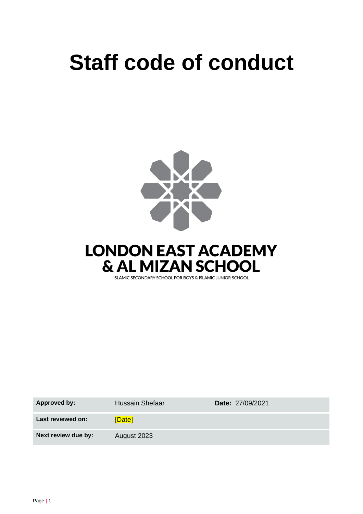# **Staff code of conduct**





| <b>Approved by:</b> | <b>Hussain Shefaar</b> | <b>Date: 27/09/2021</b> |
|---------------------|------------------------|-------------------------|
| Last reviewed on:   | [Date]                 |                         |
| Next review due by: | August 2023            |                         |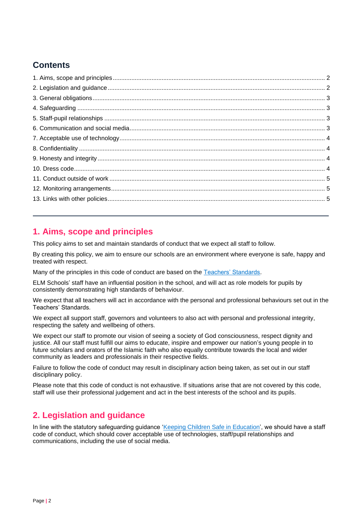# **Contents**

## <span id="page-1-0"></span>**1. Aims, scope and principles**

This policy aims to set and maintain standards of conduct that we expect all staff to follow.

By creating this policy, we aim to ensure our schools are an environment where everyone is safe, happy and treated with respect.

Many of the principles in this code of conduct are based on the [Teachers' Standards.](https://www.gov.uk/government/publications/teachers-standards)

ELM Schools' staff have an influential position in the school, and will act as role models for pupils by consistently demonstrating high standards of behaviour.

We expect that all teachers will act in accordance with the personal and professional behaviours set out in the Teachers' Standards.

We expect all support staff, governors and volunteers to also act with personal and professional integrity, respecting the safety and wellbeing of others.

We expect our staff to promote our vision of seeing a society of God consciousness, respect dignity and justice. All our staff must fulfill our aims to educate, inspire and empower our nation's young people in to future scholars and orators of the Islamic faith who also equally contribute towards the local and wider community as leaders and professionals in their respective fields.

Failure to follow the code of conduct may result in disciplinary action being taken, as set out in our staff disciplinary policy.

Please note that this code of conduct is not exhaustive. If situations arise that are not covered by this code, staff will use their professional judgement and act in the best interests of the school and its pupils.

# <span id="page-1-1"></span>**2. Legislation and guidance**

In line with the statutory safeguarding guidance ['Keeping Children Safe in Education',](https://www.gov.uk/government/publications/keeping-children-safe-in-education--2) we should have a staff code of conduct, which should cover acceptable use of technologies, staff/pupil relationships and communications, including the use of social media.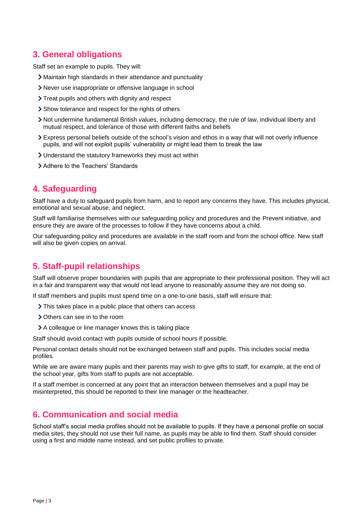# <span id="page-2-0"></span>**3. General obligations**

Staff set an example to pupils. They will:

- Maintain high standards in their attendance and punctuality
- Never use inappropriate or offensive language in school
- > Treat pupils and others with dignity and respect
- > Show tolerance and respect for the rights of others
- Not undermine fundamental British values, including democracy, the rule of law, individual liberty and mutual respect, and tolerance of those with different faiths and beliefs
- Express personal beliefs outside of the school's vision and ethos in a way that will not overly influence pupils, and will not exploit pupils' vulnerability or might lead them to break the law
- Understand the statutory frameworks they must act within
- Adhere to the Teachers' Standards

## <span id="page-2-1"></span>**4. Safeguarding**

Staff have a duty to safeguard pupils from harm, and to report any concerns they have. This includes physical, emotional and sexual abuse, and neglect.

Staff will familiarise themselves with our safeguarding policy and procedures and the Prevent initiative, and ensure they are aware of the processes to follow if they have concerns about a child.

Our safeguarding policy and procedures are available in the staff room and from the school office. New staff will also be given copies on arrival.

# <span id="page-2-2"></span>**5. Staff-pupil relationships**

Staff will observe proper boundaries with pupils that are appropriate to their professional position. They will act in a fair and transparent way that would not lead anyone to reasonably assume they are not doing so.

If staff members and pupils must spend time on a one-to-one basis, staff will ensure that:

- > This takes place in a public place that others can access
- > Others can see in to the room
- A colleague or line manager knows this is taking place

Staff should avoid contact with pupils outside of school hours if possible.

Personal contact details should not be exchanged between staff and pupils. This includes social media profiles.

While we are aware many pupils and their parents may wish to give gifts to staff, for example, at the end of the school year, gifts from staff to pupils are not acceptable.

If a staff member is concerned at any point that an interaction between themselves and a pupil may be misinterpreted, this should be reported to their line manager or the headteacher.

### <span id="page-2-3"></span>**6. Communication and social media**

School staff's social media profiles should not be available to pupils. If they have a personal profile on social media sites, they should not use their full name, as pupils may be able to find them. Staff should consider using a first and middle name instead, and set public profiles to private.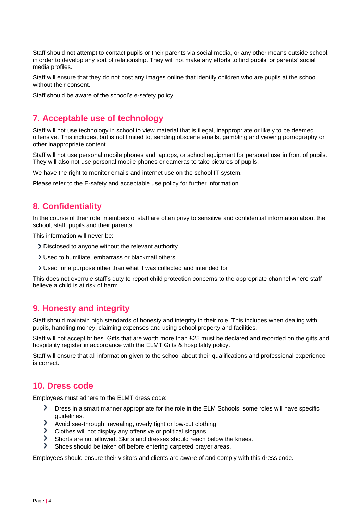Staff should not attempt to contact pupils or their parents via social media, or any other means outside school, in order to develop any sort of relationship. They will not make any efforts to find pupils' or parents' social media profiles.

Staff will ensure that they do not post any images online that identify children who are pupils at the school without their consent.

Staff should be aware of the school's e-safety policy

## <span id="page-3-0"></span>**7. Acceptable use of technology**

Staff will not use technology in school to view material that is illegal, inappropriate or likely to be deemed offensive. This includes, but is not limited to, sending obscene emails, gambling and viewing pornography or other inappropriate content.

Staff will not use personal mobile phones and laptops, or school equipment for personal use in front of pupils. They will also not use personal mobile phones or cameras to take pictures of pupils.

We have the right to monitor emails and internet use on the school IT system.

Please refer to the E-safety and acceptable use policy for further information.

### <span id="page-3-1"></span>**8. Confidentiality**

In the course of their role, members of staff are often privy to sensitive and confidential information about the school, staff, pupils and their parents.

This information will never be:

- Disclosed to anyone without the relevant authority
- Used to humiliate, embarrass or blackmail others
- Used for a purpose other than what it was collected and intended for

This does not overrule staff's duty to report child protection concerns to the appropriate channel where staff believe a child is at risk of harm.

### <span id="page-3-2"></span>**9. Honesty and integrity**

Staff should maintain high standards of honesty and integrity in their role. This includes when dealing with pupils, handling money, claiming expenses and using school property and facilities.

Staff will not accept bribes. Gifts that are worth more than £25 must be declared and recorded on the gifts and hospitality register in accordance with the ELMT Gifts & hospitality policy.

Staff will ensure that all information given to the school about their qualifications and professional experience is correct.

### <span id="page-3-3"></span>**10. Dress code**

Employees must adhere to the ELMT dress code:

- ≻ Dress in a smart manner appropriate for the role in the ELM Schools; some roles will have specific guidelines.
- ⋟ Avoid see-through, revealing, overly tight or low-cut clothing.
- Clothes will not display any offensive or political slogans.
- ゝ Shorts are not allowed. Skirts and dresses should reach below the knees.
- Shoes should be taken off before entering carpeted prayer areas.

Employees should ensure their visitors and clients are aware of and comply with this dress code.